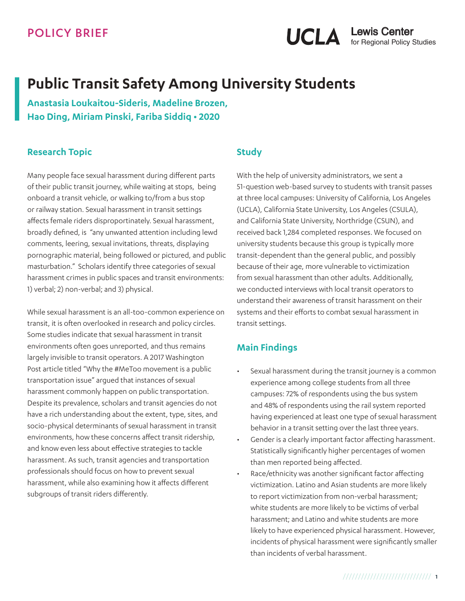# **Public Transit Safety Among University Students**

**Anastasia Loukaitou-Sideris, Madeline Brozen, Hao Ding, Miriam Pinski, Fariba Siddiq • 2020**

#### **Research Topic**

Many people face sexual harassment during different parts of their public transit journey, while waiting at stops, being onboard a transit vehicle, or walking to/from a bus stop or railway station. Sexual harassment in transit settings affects female riders disproportinately. Sexual harassment, broadly defined, is "any unwanted attention including lewd comments, leering, sexual invitations, threats, displaying pornographic material, being followed or pictured, and public masturbation." Scholars identify three categories of sexual harassment crimes in public spaces and transit environments: 1) verbal; 2) non-verbal; and 3) physical.

While sexual harassment is an all-too-common experience on transit, it is often overlooked in research and policy circles. Some studies indicate that sexual harassment in transit environments often goes unreported, and thus remains largely invisible to transit operators. A 2017 Washington Post article titled "Why the #MeToo movement is a public transportation issue" argued that instances of sexual harassment commonly happen on public transportation. Despite its prevalence, scholars and transit agencies do not have a rich understanding about the extent, type, sites, and socio-physical determinants of sexual harassment in transit environments, how these concerns affect transit ridership, and know even less about effective strategies to tackle harassment. As such, transit agencies and transportation professionals should focus on how to prevent sexual harassment, while also examining how it affects different subgroups of transit riders differently.

#### **Study**

With the help of university administrators, we sent a 51-question web-based survey to students with transit passes at three local campuses: University of California, Los Angeles (UCLA), California State University, Los Angeles (CSULA), and California State University, Northridge (CSUN), and received back 1,284 completed responses. We focused on university students because this group is typically more transit-dependent than the general public, and possibly because of their age, more vulnerable to victimization from sexual harassment than other adults. Additionally, we conducted interviews with local transit operators to understand their awareness of transit harassment on their systems and their efforts to combat sexual harassment in transit settings.

#### **Main Findings**

- Sexual harassment during the transit journey is a common experience among college students from all three campuses: 72% of respondents using the bus system and 48% of respondents using the rail system reported having experienced at least one type of sexual harassment behavior in a transit setting over the last three years.
- Gender is a clearly important factor affecting harassment. Statistically significantly higher percentages of women than men reported being affected.
- Race/ethnicity was another significant factor affecting victimization. Latino and Asian students are more likely to report victimization from non-verbal harassment; white students are more likely to be victims of verbal harassment; and Latino and white students are more likely to have experienced physical harassment. However, incidents of physical harassment were significantly smaller than incidents of verbal harassment.